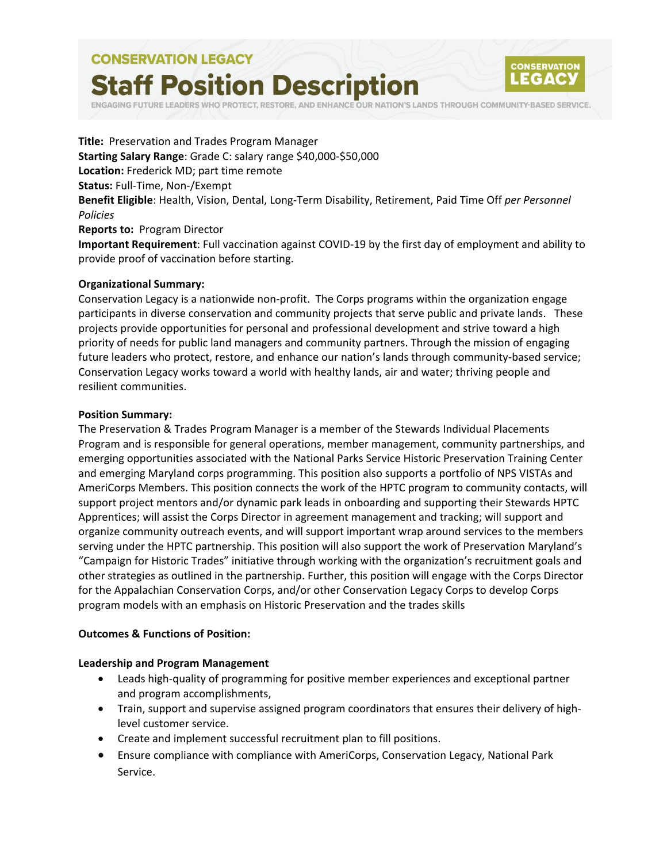# **CONSERVATION LEGACY Staff Position Description**



RESTORE, AND ENHANCE OUR NATION'S LANDS THROUGH COMMUNITY-BASED SERVICE.

**Title:** Preservation and Trades Program Manager **Starting Salary Range**: Grade C: salary range \$40,000-\$50,000 **Location:** Frederick MD; part time remote **Status:** Full-Time, Non-/Exempt **Benefit Eligible**: Health, Vision, Dental, Long-Term Disability, Retirement, Paid Time Off *per Personnel Policies* **Reports to:** Program Director

**Important Requirement**: Full vaccination against COVID-19 by the first day of employment and ability to provide proof of vaccination before starting.

#### **Organizational Summary:**

Conservation Legacy is a nationwide non-profit. The Corps programs within the organization engage participants in diverse conservation and community projects that serve public and private lands. These projects provide opportunities for personal and professional development and strive toward a high priority of needs for public land managers and community partners. Through the mission of engaging future leaders who protect, restore, and enhance our nation's lands through community-based service; Conservation Legacy works toward a world with healthy lands, air and water; thriving people and resilient communities.

#### **Position Summary:**

The Preservation & Trades Program Manager is a member of the Stewards Individual Placements Program and is responsible for general operations, member management, community partnerships, and emerging opportunities associated with the National Parks Service Historic Preservation Training Center and emerging Maryland corps programming. This position also supports a portfolio of NPS VISTAs and AmeriCorps Members. This position connects the work of the HPTC program to community contacts, will support project mentors and/or dynamic park leads in onboarding and supporting their Stewards HPTC Apprentices; will assist the Corps Director in agreement management and tracking; will support and organize community outreach events, and will support important wrap around services to the members serving under the HPTC partnership. This position will also support the work of Preservation Maryland's "Campaign for Historic Trades" initiative through working with the organization's recruitment goals and other strategies as outlined in the partnership. Further, this position will engage with the Corps Director for the Appalachian Conservation Corps, and/or other Conservation Legacy Corps to develop Corps program models with an emphasis on Historic Preservation and the trades skills

#### **Outcomes & Functions of Position:**

#### **Leadership and Program Management**

- Leads high-quality of programming for positive member experiences and exceptional partner and program accomplishments,
- Train, support and supervise assigned program coordinators that ensures their delivery of highlevel customer service.
- Create and implement successful recruitment plan to fill positions.
- Ensure compliance with compliance with AmeriCorps, Conservation Legacy, National Park Service.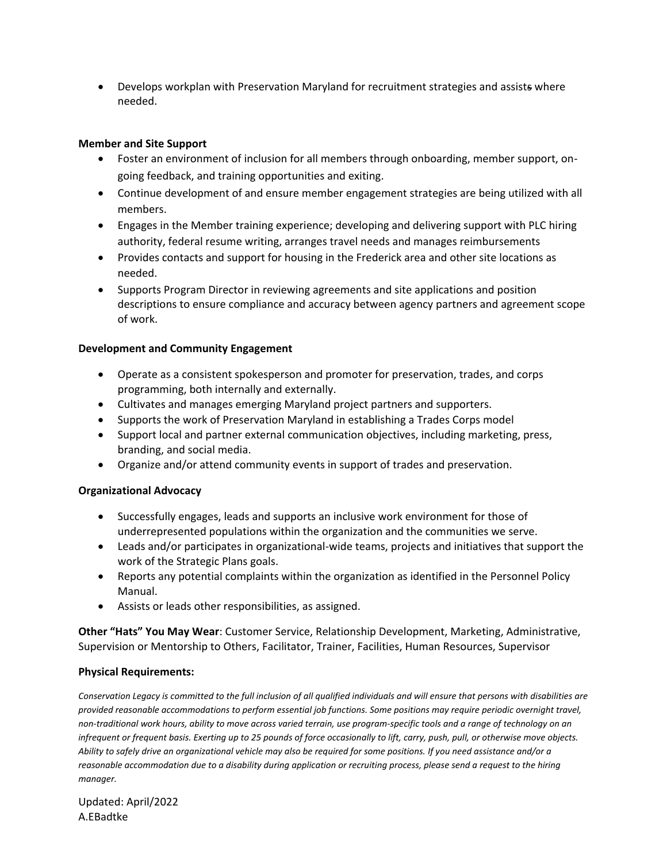• Develops workplan with Preservation Maryland for recruitment strategies and assists where needed.

# **Member and Site Support**

- Foster an environment of inclusion for all members through onboarding, member support, ongoing feedback, and training opportunities and exiting.
- Continue development of and ensure member engagement strategies are being utilized with all members.
- Engages in the Member training experience; developing and delivering support with PLC hiring authority, federal resume writing, arranges travel needs and manages reimbursements
- Provides contacts and support for housing in the Frederick area and other site locations as needed.
- Supports Program Director in reviewing agreements and site applications and position descriptions to ensure compliance and accuracy between agency partners and agreement scope of work.

# **Development and Community Engagement**

- Operate as a consistent spokesperson and promoter for preservation, trades, and corps programming, both internally and externally.
- Cultivates and manages emerging Maryland project partners and supporters.
- Supports the work of Preservation Maryland in establishing a Trades Corps model
- Support local and partner external communication objectives, including marketing, press, branding, and social media.
- Organize and/or attend community events in support of trades and preservation.

## **Organizational Advocacy**

- Successfully engages, leads and supports an inclusive work environment for those of underrepresented populations within the organization and the communities we serve.
- Leads and/or participates in organizational-wide teams, projects and initiatives that support the work of the Strategic Plans goals.
- Reports any potential complaints within the organization as identified in the Personnel Policy Manual.
- Assists or leads other responsibilities, as assigned.

**Other "Hats" You May Wear**: Customer Service, Relationship Development, Marketing, Administrative, Supervision or Mentorship to Others, Facilitator, Trainer, Facilities, Human Resources, Supervisor

## **Physical Requirements:**

*Conservation Legacy is committed to the full inclusion of all qualified individuals and will ensure that persons with disabilities are provided reasonable accommodations to perform essential job functions. Some positions may require periodic overnight travel, non-traditional work hours, ability to move across varied terrain, use program-specific tools and a range of technology on an infrequent or frequent basis. Exerting up to 25 pounds of force occasionally to lift, carry, push, pull, or otherwise move objects. Ability to safely drive an organizational vehicle may also be required for some positions. If you need assistance and/or a reasonable accommodation due to a disability during application or recruiting process, please send a request to the hiring manager.*

Updated: April/2022 A.EBadtke